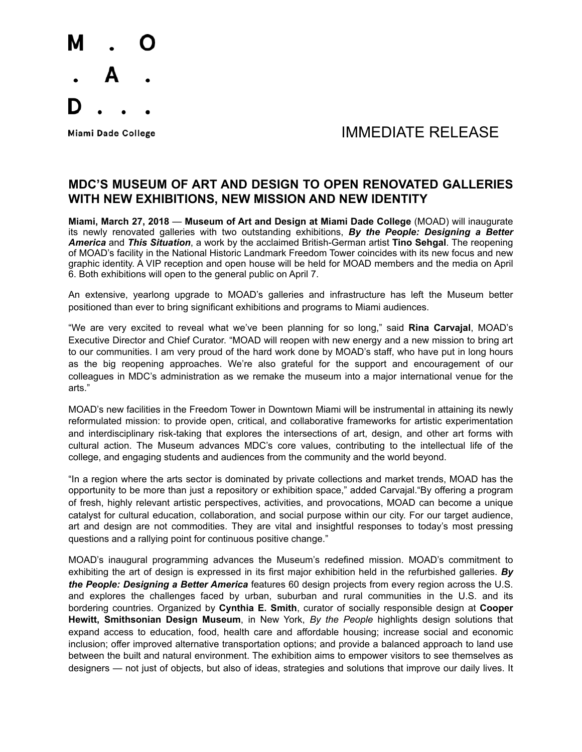

## Miami Dade College **All Accords** College and The Manual MINIF DIATE RELEASE

### **MDC'S MUSEUM OF ART AND DESIGN TO OPEN RENOVATED GALLERIES WITH NEW EXHIBITIONS, NEW MISSION AND NEW IDENTITY**

**Miami, March 27, 2018** — **Museum of Art and Design at Miami Dade College** (MOAD) will inaugurate its newly renovated galleries with two outstanding exhibitions, *By the People: Designing a Better America* and *This Situation*, a work by the acclaimed British-German artist **Tino Sehgal**. The reopening of MOAD's facility in the National Historic Landmark Freedom Tower coincides with its new focus and new graphic identity. A VIP reception and open house will be held for MOAD members and the media on April 6. Both exhibitions will open to the general public on April 7.

An extensive, yearlong upgrade to MOAD's galleries and infrastructure has left the Museum better positioned than ever to bring significant exhibitions and programs to Miami audiences.

"We are very excited to reveal what we've been planning for so long," said **Rina Carvajal**, MOAD's Executive Director and Chief Curator. "MOAD will reopen with new energy and a new mission to bring art to our communities. I am very proud of the hard work done by MOAD's staff, who have put in long hours as the big reopening approaches. We're also grateful for the support and encouragement of our colleagues in MDC's administration as we remake the museum into a major international venue for the arts."

MOAD's new facilities in the Freedom Tower in Downtown Miami will be instrumental in attaining its newly reformulated mission: to provide open, critical, and collaborative frameworks for artistic experimentation and interdisciplinary risk-taking that explores the intersections of art, design, and other art forms with cultural action. The Museum advances MDC's core values, contributing to the intellectual life of the college, and engaging students and audiences from the community and the world beyond.

"In a region where the arts sector is dominated by private collections and market trends, MOAD has the opportunity to be more than just a repository or exhibition space," added Carvajal."By offering a program of fresh, highly relevant artistic perspectives, activities, and provocations, MOAD can become a unique catalyst for cultural education, collaboration, and social purpose within our city. For our target audience, art and design are not commodities. They are vital and insightful responses to today's most pressing questions and a rallying point for continuous positive change."

MOAD's inaugural programming advances the Museum's redefined mission. MOAD's commitment to exhibiting the art of design is expressed in its first major exhibition held in the refurbished galleries. *By the People: Designing a Better America* features 60 design projects from every region across the U.S. and explores the challenges faced by urban, suburban and rural communities in the U.S. and its bordering countries. Organized by **Cynthia E. Smith**, curator of socially responsible design at **Cooper Hewitt, Smithsonian Design Museum**, in New York, *By the People* highlights design solutions that expand access to education, food, health care and affordable housing; increase social and economic inclusion; offer improved alternative transportation options; and provide a balanced approach to land use between the built and natural environment. The exhibition aims to empower visitors to see themselves as designers — not just of objects, but also of ideas, strategies and solutions that improve our daily lives. It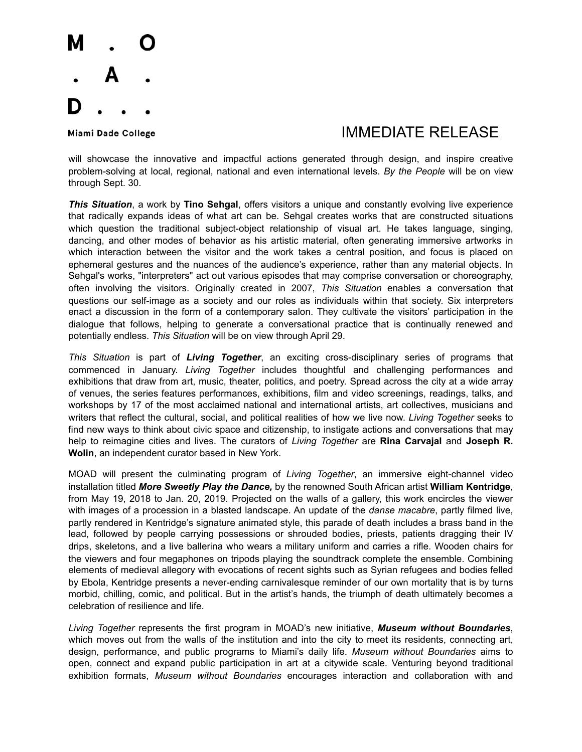

### Miami Dade College The College College College The College The College The Museum of the IMMEDIATE RELEASE

will showcase the innovative and impactful actions generated through design, and inspire creative problem-solving at local, regional, national and even international levels. *By the People* will be on view through Sept. 30.

*This Situation*, a work by **Tino Sehgal**, offers visitors a unique and constantly evolving live experience that radically expands ideas of what art can be. Sehgal creates works that are constructed situations which question the traditional subject-object relationship of visual art. He takes language, singing, dancing, and other modes of behavior as his artistic material, often generating immersive artworks in which interaction between the visitor and the work takes a central position, and focus is placed on ephemeral gestures and the nuances of the audience's experience, rather than any material objects. In Sehgal's works, "interpreters" act out various episodes that may comprise conversation or choreography, often involving the visitors. Originally created in 2007, *This Situation* enables a conversation that questions our self-image as a society and our roles as individuals within that society. Six interpreters enact a discussion in the form of a contemporary salon. They cultivate the visitors' participation in the dialogue that follows, helping to generate a conversational practice that is continually renewed and potentially endless. *This Situation* will be on view through April 29.

*This Situation* is part of *Living Together*, an exciting cross-disciplinary series of programs that commenced in January. *Living Together* includes thoughtful and challenging performances and exhibitions that draw from art, music, theater, politics, and poetry. Spread across the city at a wide array of venues, the series features performances, exhibitions, film and video screenings, readings, talks, and workshops by 17 of the most acclaimed national and international artists, art collectives, musicians and writers that reflect the cultural, social, and political realities of how we live now. *Living Together* seeks to find new ways to think about civic space and citizenship, to instigate actions and conversations that may help to reimagine cities and lives. The curators of *Living Together* are **Rina Carvajal** and **Joseph R. Wolin**, an independent curator based in New York.

MOAD will present the culminating program of *Living Together*, an immersive eight-channel video installation titled *More Sweetly Play the Dance,* by the renowned South African artist **William Kentridge**, from May 19, 2018 to Jan. 20, 2019. Projected on the walls of a gallery, this work encircles the viewer with images of a procession in a blasted landscape. An update of the *danse macabre*, partly filmed live, partly rendered in Kentridge's signature animated style, this parade of death includes a brass band in the lead, followed by people carrying possessions or shrouded bodies, priests, patients dragging their IV drips, skeletons, and a live ballerina who wears a military uniform and carries a rifle. Wooden chairs for the viewers and four megaphones on tripods playing the soundtrack complete the ensemble. Combining elements of medieval allegory with evocations of recent sights such as Syrian refugees and bodies felled by Ebola, Kentridge presents a never-ending carnivalesque reminder of our own mortality that is by turns morbid, chilling, comic, and political. But in the artist's hands, the triumph of death ultimately becomes a celebration of resilience and life.

*Living Together* represents the first program in MOAD's new initiative, *Museum without Boundaries*, which moves out from the walls of the institution and into the city to meet its residents, connecting art, design, performance, and public programs to Miami's daily life. *Museum without Boundaries* aims to open, connect and expand public participation in art at a citywide scale. Venturing beyond traditional exhibition formats, *Museum without Boundaries* encourages interaction and collaboration with and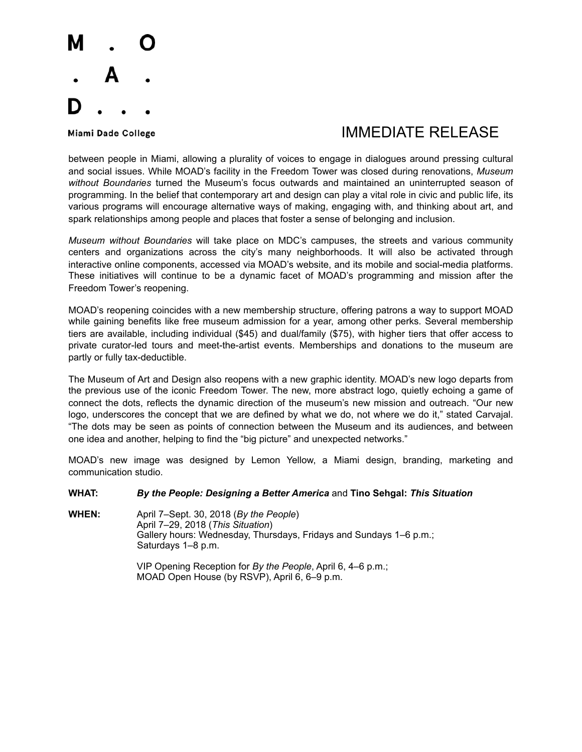

# Miami Dade College The College College College The College The College The Museum of the IMMEDIATE RELEASE

between people in Miami, allowing a plurality of voices to engage in dialogues around pressing cultural and social issues. While MOAD's facility in the Freedom Tower was closed during renovations, *Museum without Boundaries* turned the Museum's focus outwards and maintained an uninterrupted season of programming. In the belief that contemporary art and design can play a vital role in civic and public life, its various programs will encourage alternative ways of making, engaging with, and thinking about art, and spark relationships among people and places that foster a sense of belonging and inclusion.

*Museum without Boundaries* will take place on MDC's campuses, the streets and various community centers and organizations across the city's many neighborhoods. It will also be activated through interactive online components, accessed via MOAD's website, and its mobile and social-media platforms. These initiatives will continue to be a dynamic facet of MOAD's programming and mission after the Freedom Tower's reopening.

MOAD's reopening coincides with a new membership structure, offering patrons a way to support MOAD while gaining benefits like free museum admission for a year, among other perks. Several membership tiers are available, including individual (\$45) and dual/family (\$75), with higher tiers that offer access to private curator-led tours and meet-the-artist events. Memberships and donations to the museum are partly or fully tax-deductible.

The Museum of Art and Design also reopens with a new graphic identity. MOAD's new logo departs from the previous use of the iconic Freedom Tower. The new, more abstract logo, quietly echoing a game of connect the dots, reflects the dynamic direction of the museum's new mission and outreach. "Our new logo, underscores the concept that we are defined by what we do, not where we do it," stated Carvajal. "The dots may be seen as points of connection between the Museum and its audiences, and between one idea and another, helping to find the "big picture" and unexpected networks."

MOAD's new image was designed by Lemon Yellow, a Miami design, branding, marketing and communication studio.

### **WHAT:** *By the People: Designing a Better America* and **Tino Sehgal:** *This Situation*

**WHEN:** April 7–Sept. 30, 2018 (*By the People*) April 7–29, 2018 (*This Situation*) Gallery hours: Wednesday, Thursdays, Fridays and Sundays 1–6 p.m.; Saturdays 1–8 p.m.

> VIP Opening Reception for *By the People*, April 6, 4–6 p.m.; MOAD Open House (by RSVP), April 6, 6–9 p.m.